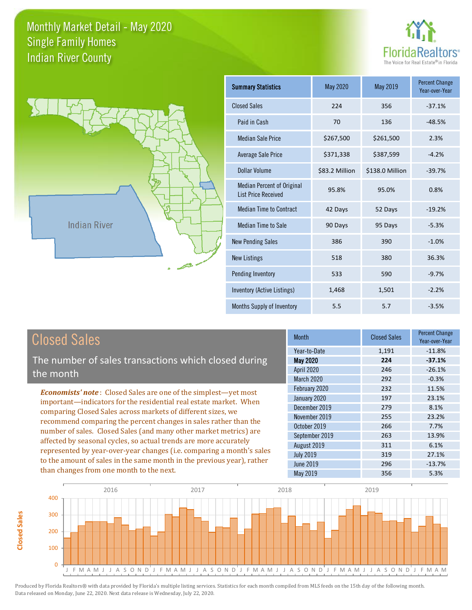**Closed Sales**

**Closed Sales** 





| <b>Summary Statistics</b>                                       | <b>May 2020</b> | May 2019        | <b>Percent Change</b><br>Year-over-Year |
|-----------------------------------------------------------------|-----------------|-----------------|-----------------------------------------|
| <b>Closed Sales</b>                                             | 224             | 356             | $-37.1%$                                |
| Paid in Cash                                                    | 70              | 136             | $-48.5%$                                |
| <b>Median Sale Price</b>                                        | \$267,500       | \$261,500       | 2.3%                                    |
| Average Sale Price                                              | \$371,338       | \$387,599       | $-4.2%$                                 |
| Dollar Volume                                                   | \$83.2 Million  | \$138.0 Million | $-39.7%$                                |
| <b>Median Percent of Original</b><br><b>List Price Received</b> | 95.8%           | 95.0%           | 0.8%                                    |
| <b>Median Time to Contract</b>                                  | 42 Days         | 52 Days         | $-19.2%$                                |
| Median Time to Sale                                             | 90 Days         | 95 Days         | $-5.3%$                                 |
| <b>New Pending Sales</b>                                        | 386             | 390             | $-1.0%$                                 |
| <b>New Listings</b>                                             | 518             | 380             | 36.3%                                   |
| Pending Inventory                                               | 533             | 590             | $-9.7%$                                 |
| <b>Inventory (Active Listings)</b>                              | 1,468           | 1,501           | $-2.2%$                                 |
| Months Supply of Inventory                                      | 5.5             | 5.7             | $-3.5%$                                 |

| <b>Closed Sales</b>                                                                                                                    | <b>Month</b>      | <b>Closed Sales</b> | <b>Percent Change</b><br>Year-over-Year |
|----------------------------------------------------------------------------------------------------------------------------------------|-------------------|---------------------|-----------------------------------------|
|                                                                                                                                        | Year-to-Date      | 1,191               | $-11.8%$                                |
| The number of sales transactions which closed during                                                                                   | <b>May 2020</b>   | 224                 | $-37.1%$                                |
| the month                                                                                                                              | <b>April 2020</b> | 246                 | $-26.1%$                                |
|                                                                                                                                        | March 2020        | 292                 | $-0.3%$                                 |
| <b>Economists' note:</b> Closed Sales are one of the simplest—yet most                                                                 | February 2020     | 232                 | 11.5%                                   |
| important-indicators for the residential real estate market. When                                                                      | January 2020      | 197                 | 23.1%                                   |
| comparing Closed Sales across markets of different sizes, we                                                                           | December 2019     | 279                 | 8.1%                                    |
| recommend comparing the percent changes in sales rather than the                                                                       | November 2019     | 255                 | 23.2%                                   |
| number of sales. Closed Sales (and many other market metrics) are<br>affected by seasonal cycles, so actual trends are more accurately | October 2019      | 266                 | 7.7%                                    |
|                                                                                                                                        | September 2019    | 263                 | 13.9%                                   |
|                                                                                                                                        | August 2019       | 311                 | 6.1%                                    |
| represented by year-over-year changes (i.e. comparing a month's sales                                                                  | <b>July 2019</b>  | 319                 | 27.1%                                   |
| to the amount of sales in the same month in the previous year), rather                                                                 | June 2019         | 296                 | $-13.7%$                                |
| than changes from one month to the next.                                                                                               | May 2019          | 356                 | 5.3%                                    |

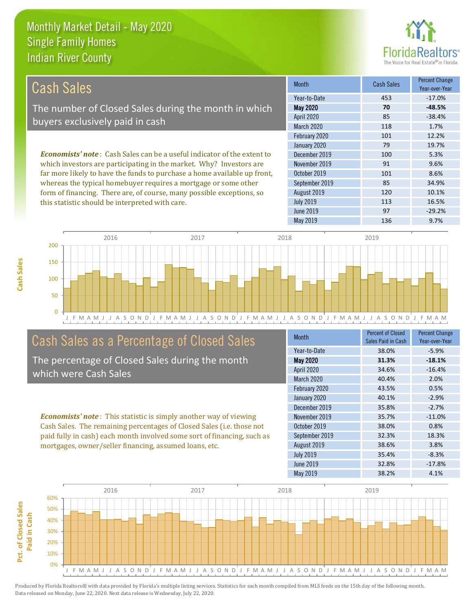this statistic should be interpreted with care.



113 16.5%

| Cash Sales                                                                     | <b>Month</b>      | <b>Cash Sales</b> | <b>Percent Change</b><br>Year-over-Year |
|--------------------------------------------------------------------------------|-------------------|-------------------|-----------------------------------------|
|                                                                                | Year-to-Date      | 453               | $-17.0%$                                |
| The number of Closed Sales during the month in which                           | <b>May 2020</b>   | 70                | $-48.5%$                                |
| buyers exclusively paid in cash                                                | <b>April 2020</b> | 85                | $-38.4%$                                |
|                                                                                | <b>March 2020</b> | 118               | 1.7%                                    |
|                                                                                | February 2020     | 101               | 12.2%                                   |
|                                                                                | January 2020      | 79                | 19.7%                                   |
| <b>Economists' note:</b> Cash Sales can be a useful indicator of the extent to | December 2019     | 100               | 5.3%                                    |
| which investors are participating in the market. Why? Investors are            | November 2019     | 91                | 9.6%                                    |
| far more likely to have the funds to purchase a home available up front,       | October 2019      | 101               | 8.6%                                    |
| whereas the typical homebuyer requires a mortgage or some other                | September 2019    | 85                | 34.9%                                   |
| form of financing. There are, of course, many possible exceptions, so          | August 2019       | 120               | 10.1%                                   |



# Cash Sales as a Percentage of Closed Sales

The percentage of Closed Sales during the month which were Cash Sales

*Economists' note* : This statistic is simply another way of viewing Cash Sales. The remaining percentages of Closed Sales (i.e. those not paid fully in cash) each month involved some sort of financing, such as mortgages, owner/seller financing, assumed loans, etc.

| <b>Month</b>      | <b>Percent of Closed</b><br>Sales Paid in Cash | <b>Percent Change</b><br>Year-over-Year |
|-------------------|------------------------------------------------|-----------------------------------------|
| Year-to-Date      | 38.0%                                          | $-5.9%$                                 |
| <b>May 2020</b>   | 31.3%                                          | $-18.1%$                                |
| April 2020        | 34.6%                                          | $-16.4%$                                |
| <b>March 2020</b> | 40.4%                                          | 2.0%                                    |
| February 2020     | 43.5%                                          | 0.5%                                    |
| January 2020      | 40.1%                                          | $-2.9%$                                 |
| December 2019     | 35.8%                                          | $-2.7%$                                 |
| November 2019     | 35.7%                                          | $-11.0%$                                |
| October 2019      | 38.0%                                          | 0.8%                                    |
| September 2019    | 32.3%                                          | 18.3%                                   |
| August 2019       | 38.6%                                          | 3.8%                                    |
| <b>July 2019</b>  | 35.4%                                          | $-8.3%$                                 |
| June 2019         | 32.8%                                          | $-17.8%$                                |
| May 2019          | 38.2%                                          | 4.1%                                    |

June 2019 **97 97** -29.2%

July 2019

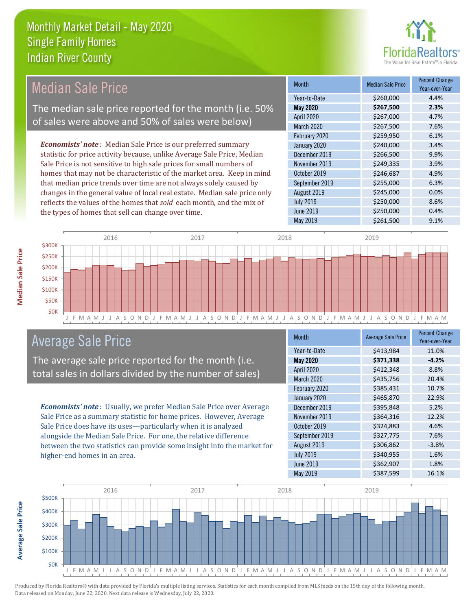

#### *Economists' note* : Median Sale Price is our preferred summary statistic for price activity because, unlike Average Sale Price, Median Sale Price is not sensitive to high sale prices for small numbers of homes that may not be characteristic of the market area. Keep in mind that median price trends over time are not always solely caused by changes in the general value of local real estate. Median sale price only reflects the values of the homes that *sold* each month, and the mix of the types of homes that sell can change over time. May 2019 **\$261,500** \$261,500 9.1% July 2019 **\$250,000** \$250,000 8.6% June 2019 **\$250,000 0.4%** September 2019 **\$255,000** 6.3% August 2019 **\$245,000 0.0%** \$259,950 6.1% January 2020 \$240,000 \$240,000 \$3.4% October 2019 **\$246,687** 4.9% April 2020 \$267,000 4.7% March 2020 \$267,500 7.6% December 2019 **\$266,500** 9.9% November 2019 **\$249,335** 3.9% February 2020 Month Median Sale Price Percent Change Year-over-Year May 2020 **\$267,500 2.3%** Year-to-Date \$260,000 4.4% Median Sale Price The median sale price reported for the month (i.e. 50% of sales were above and 50% of sales were below)



### Average Sale Price

The average sale price reported for the month (i.e. total sales in dollars divided by the number of sales)

*Economists' note* : Usually, we prefer Median Sale Price over Average Sale Price as a summary statistic for home prices. However, Average Sale Price does have its uses—particularly when it is analyzed alongside the Median Sale Price. For one, the relative difference between the two statistics can provide some insight into the market for higher-end homes in an area.

| <b>Month</b>      | <b>Average Sale Price</b> | <b>Percent Change</b><br>Year-over-Year |
|-------------------|---------------------------|-----------------------------------------|
| Year-to-Date      | \$413,984                 | 11.0%                                   |
| <b>May 2020</b>   | \$371,338                 | $-4.2%$                                 |
| April 2020        | \$412,348                 | 8.8%                                    |
| <b>March 2020</b> | \$435,756                 | 20.4%                                   |
| February 2020     | \$385,431                 | 10.7%                                   |
| January 2020      | \$465,870                 | 22.9%                                   |
| December 2019     | \$395,848                 | 5.2%                                    |
| November 2019     | \$364,316                 | 12.2%                                   |
| October 2019      | \$324,883                 | 4.6%                                    |
| September 2019    | \$327,775                 | 7.6%                                    |
| August 2019       | \$306,862                 | $-3.8%$                                 |
| <b>July 2019</b>  | \$340,955                 | 1.6%                                    |
| <b>June 2019</b>  | \$362,907                 | 1.8%                                    |
| May 2019          | \$387,599                 | 16.1%                                   |



**Median Sale Price** 

**Average Sale Price**

**Average Sale Price**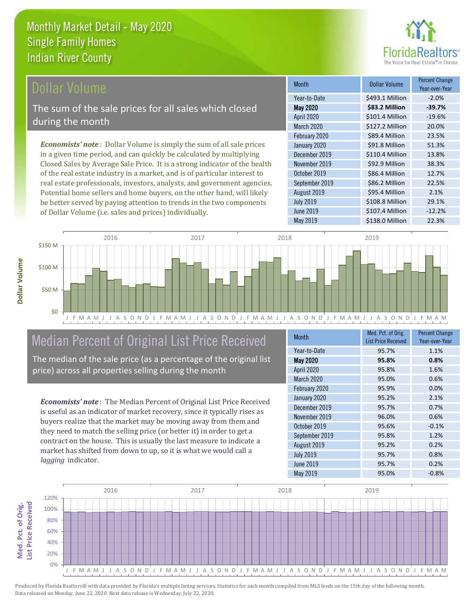

#### **Ollar Volume**

The sum of the sale prices for all sales which closed during the month

*Economists' note* : Dollar Volume is simply the sum of all sale prices in a given time period, and can quickly be calculated by multiplying Closed Sales by Average Sale Price. It is a strong indicator of the health of the real estate industry in a market, and is of particular interest to real estate professionals, investors, analysts, and government agencies. Potential home sellers and home buyers, on the other hand, will likely be better served by paying attention to trends in the two components of Dollar Volume (i.e. sales and prices) individually.

| <b>Month</b>      | Dollar Volume   | <b>Percent Change</b><br>Year-over-Year |
|-------------------|-----------------|-----------------------------------------|
| Year-to-Date      | \$493.1 Million | $-2.0%$                                 |
| <b>May 2020</b>   | \$83.2 Million  | $-39.7%$                                |
| April 2020        | \$101.4 Million | $-19.6%$                                |
| <b>March 2020</b> | \$127.2 Million | 20.0%                                   |
| February 2020     | \$89.4 Million  | 23.5%                                   |
| January 2020      | \$91.8 Million  | 51.3%                                   |
| December 2019     | \$110.4 Million | 13.8%                                   |
| November 2019     | \$92.9 Million  | 38.3%                                   |
| October 2019      | \$86.4 Million  | 12.7%                                   |
| September 2019    | \$86.2 Million  | 22.5%                                   |
| August 2019       | \$95.4 Million  | 2.1%                                    |
| <b>July 2019</b>  | \$108.8 Million | 29.1%                                   |
| <b>June 2019</b>  | \$107.4 Million | $-12.2%$                                |
| May 2019          | \$138.0 Million | 22.3%                                   |



# Median Percent of Original List Price Received

The median of the sale price (as a percentage of the original list price) across all properties selling during the month

*Economists' note* : The Median Percent of Original List Price Received is useful as an indicator of market recovery, since it typically rises as buyers realize that the market may be moving away from them and they need to match the selling price (or better it) in order to get a contract on the house. This is usually the last measure to indicate a market has shifted from down to up, so it is what we would call a *lagging* indicator.

| <b>Month</b>      | Med. Pct. of Orig.<br><b>List Price Received</b> | <b>Percent Change</b><br>Year-over-Year |
|-------------------|--------------------------------------------------|-----------------------------------------|
| Year-to-Date      | 95.7%                                            | 1.1%                                    |
| <b>May 2020</b>   | 95.8%                                            | 0.8%                                    |
| April 2020        | 95.8%                                            | 1.6%                                    |
| <b>March 2020</b> | 95.0%                                            | 0.6%                                    |
| February 2020     | 95.9%                                            | 0.0%                                    |
| January 2020      | 95.2%                                            | 2.1%                                    |
| December 2019     | 95.7%                                            | 0.7%                                    |
| November 2019     | 96.0%                                            | 0.6%                                    |
| October 2019      | 95.6%                                            | $-0.1%$                                 |
| September 2019    | 95.8%                                            | 1.2%                                    |
| August 2019       | 95.2%                                            | 0.2%                                    |
| <b>July 2019</b>  | 95.7%                                            | 0.8%                                    |
| <b>June 2019</b>  | 95.7%                                            | 0.2%                                    |
| May 2019          | 95.0%                                            | $-0.8%$                                 |

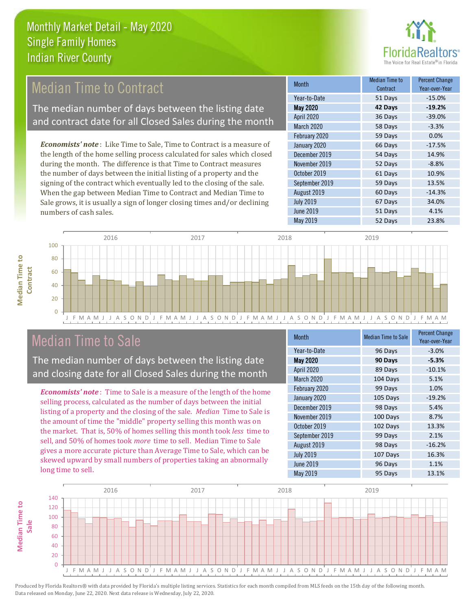

# Median Time to Contract

The median number of days between the listing date and contract date for all Closed Sales during the month

*Economists' note* : Like Time to Sale, Time to Contract is a measure of the length of the home selling process calculated for sales which closed during the month. The difference is that Time to Contract measures the number of days between the initial listing of a property and the signing of the contract which eventually led to the closing of the sale. When the gap between Median Time to Contract and Median Time to Sale grows, it is usually a sign of longer closing times and/or declining numbers of cash sales.

| <b>Month</b>     | <b>Median Time to</b><br>Contract | <b>Percent Change</b><br>Year-over-Year |
|------------------|-----------------------------------|-----------------------------------------|
| Year-to-Date     | 51 Days                           | $-15.0%$                                |
| <b>May 2020</b>  | 42 Days                           | $-19.2%$                                |
| April 2020       | 36 Days                           | $-39.0%$                                |
| March 2020       | 58 Days                           | $-3.3%$                                 |
| February 2020    | 59 Days                           | 0.0%                                    |
| January 2020     | 66 Days                           | $-17.5%$                                |
| December 2019    | 54 Days                           | 14.9%                                   |
| November 2019    | 52 Days                           | $-8.8%$                                 |
| October 2019     | 61 Days                           | 10.9%                                   |
| September 2019   | 59 Days                           | 13.5%                                   |
| August 2019      | 60 Days                           | $-14.3%$                                |
| <b>July 2019</b> | 67 Days                           | 34.0%                                   |
| June 2019        | 51 Days                           | 4.1%                                    |
| <b>May 2019</b>  | 52 Days                           | 23.8%                                   |



### Median Time to Sale

**Median Time to** 

**Median Time to** 

The median number of days between the listing date and closing date for all Closed Sales during the month

*Economists' note* : Time to Sale is a measure of the length of the home selling process, calculated as the number of days between the initial listing of a property and the closing of the sale. *Median* Time to Sale is the amount of time the "middle" property selling this month was on the market. That is, 50% of homes selling this month took *less* time to sell, and 50% of homes took *more* time to sell. Median Time to Sale gives a more accurate picture than Average Time to Sale, which can be skewed upward by small numbers of properties taking an abnormally long time to sell.

| <b>Month</b>      | <b>Median Time to Sale</b> | <b>Percent Change</b><br>Year-over-Year |
|-------------------|----------------------------|-----------------------------------------|
| Year-to-Date      | 96 Days                    | $-3.0%$                                 |
| <b>May 2020</b>   | 90 Days                    | $-5.3%$                                 |
| April 2020        | 89 Days                    | $-10.1%$                                |
| <b>March 2020</b> | 104 Days                   | 5.1%                                    |
| February 2020     | 99 Days                    | 1.0%                                    |
| January 2020      | 105 Days                   | $-19.2%$                                |
| December 2019     | 98 Days                    | 5.4%                                    |
| November 2019     | 100 Days                   | 8.7%                                    |
| October 2019      | 102 Days                   | 13.3%                                   |
| September 2019    | 99 Days                    | 2.1%                                    |
| August 2019       | 98 Days                    | $-16.2%$                                |
| <b>July 2019</b>  | 107 Days                   | 16.3%                                   |
| <b>June 2019</b>  | 96 Days                    | 1.1%                                    |
| <b>May 2019</b>   | 95 Days                    | 13.1%                                   |

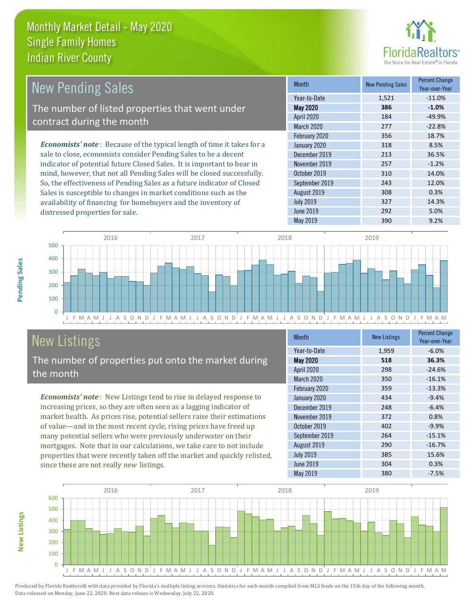distressed properties for sale.



| <b>New Pending Sales</b>                                                       | <b>Month</b>      | <b>New Pending Sales</b> | <b>Percent Change</b><br>Year-over-Year |
|--------------------------------------------------------------------------------|-------------------|--------------------------|-----------------------------------------|
|                                                                                | Year-to-Date      | 1,521                    | $-11.0\%$                               |
| The number of listed properties that went under                                | <b>May 2020</b>   | 386                      | $-1.0%$                                 |
| contract during the month                                                      | <b>April 2020</b> | 184                      | $-49.9%$                                |
|                                                                                | <b>March 2020</b> | 277                      | $-22.8%$                                |
|                                                                                | February 2020     | 356                      | 18.7%                                   |
| <b>Economists' note</b> : Because of the typical length of time it takes for a | January 2020      | 318                      | 8.5%                                    |
| sale to close, economists consider Pending Sales to be a decent                | December 2019     | 213                      | 36.5%                                   |
| indicator of potential future Closed Sales. It is important to bear in         | November 2019     | 257                      | $-1.2%$                                 |
| mind, however, that not all Pending Sales will be closed successfully.         | October 2019      | 310                      | 14.0%                                   |
| So, the effectiveness of Pending Sales as a future indicator of Closed         | September 2019    | 243                      | 12.0%                                   |
| Sales is susceptible to changes in market conditions such as the               | August 2019       | 308                      | 0.3%                                    |



# New Listings

**New Listings**

**Pending Sales**

Pending Sales

The number of properties put onto the market during the month

availability of financing for homebuyers and the inventory of

*Economists' note* : New Listings tend to rise in delayed response to increasing prices, so they are often seen as a lagging indicator of market health. As prices rise, potential sellers raise their estimations of value—and in the most recent cycle, rising prices have freed up many potential sellers who were previously underwater on their mortgages. Note that in our calculations, we take care to not include properties that were recently taken off the market and quickly relisted, since these are not really *new* listings.

| <b>Month</b>      | <b>New Listings</b> | <b>Percent Change</b><br>Year-over-Year |
|-------------------|---------------------|-----------------------------------------|
| Year-to-Date      | 1,959               | $-6.0%$                                 |
| <b>May 2020</b>   | 518                 | 36.3%                                   |
| <b>April 2020</b> | 298                 | $-24.6%$                                |
| <b>March 2020</b> | 350                 | $-16.1%$                                |
| February 2020     | 359                 | $-13.3%$                                |
| January 2020      | 434                 | $-9.4%$                                 |
| December 2019     | 248                 | $-6.4%$                                 |
| November 2019     | 372                 | 0.8%                                    |
| October 2019      | 402                 | $-9.9%$                                 |
| September 2019    | 264                 | $-15.1%$                                |
| August 2019       | 290                 | $-16.7%$                                |
| <b>July 2019</b>  | 385                 | 15.6%                                   |
| <b>June 2019</b>  | 304                 | 0.3%                                    |
| <b>May 2019</b>   | 380                 | $-7.5%$                                 |

May 2019 390 390 9.2%

July 2019 **327** 14.3% June 2019 292 5.0%

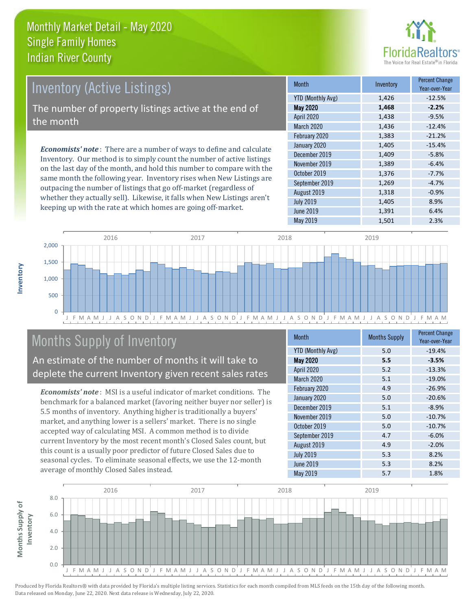

# Inventory (Active Listings)

The number of property listings active at the end of the month

*Economists' note* : There are a number of ways to define and calculate Inventory. Our method is to simply count the number of active listings on the last day of the month, and hold this number to compare with the same month the following year. Inventory rises when New Listings are outpacing the number of listings that go off-market (regardless of whether they actually sell). Likewise, it falls when New Listings aren't keeping up with the rate at which homes are going off-market.

| <b>Month</b>             | Inventory | <b>Percent Change</b><br>Year-over-Year |
|--------------------------|-----------|-----------------------------------------|
| <b>YTD (Monthly Avg)</b> | 1,426     | $-12.5%$                                |
| <b>May 2020</b>          | 1,468     | $-2.2%$                                 |
| April 2020               | 1,438     | $-9.5%$                                 |
| <b>March 2020</b>        | 1,436     | $-12.4%$                                |
| February 2020            | 1,383     | $-21.2%$                                |
| January 2020             | 1,405     | $-15.4%$                                |
| December 2019            | 1,409     | $-5.8%$                                 |
| November 2019            | 1,389     | $-6.4%$                                 |
| October 2019             | 1,376     | $-7.7%$                                 |
| September 2019           | 1,269     | $-4.7%$                                 |
| August 2019              | 1,318     | $-0.9%$                                 |
| <b>July 2019</b>         | 1,405     | 8.9%                                    |
| <b>June 2019</b>         | 1,391     | 6.4%                                    |
| May 2019                 | 1,501     | 2.3%                                    |



# Months Supply of Inventory

An estimate of the number of months it will take to deplete the current Inventory given recent sales rates

*Economists' note* : MSI is a useful indicator of market conditions. The benchmark for a balanced market (favoring neither buyer nor seller) is 5.5 months of inventory. Anything higher is traditionally a buyers' market, and anything lower is a sellers' market. There is no single accepted way of calculating MSI. A common method is to divide current Inventory by the most recent month's Closed Sales count, but this count is a usually poor predictor of future Closed Sales due to seasonal cycles. To eliminate seasonal effects, we use the 12-month average of monthly Closed Sales instead.

| <b>Month</b>             | <b>Months Supply</b> | <b>Percent Change</b><br>Year-over-Year |
|--------------------------|----------------------|-----------------------------------------|
| <b>YTD (Monthly Avg)</b> | 5.0                  | $-19.4%$                                |
| <b>May 2020</b>          | 5.5                  | $-3.5%$                                 |
| April 2020               | 5.2                  | $-13.3%$                                |
| March 2020               | 5.1                  | $-19.0%$                                |
| February 2020            | 4.9                  | $-26.9%$                                |
| January 2020             | 5.0                  | $-20.6%$                                |
| December 2019            | 5.1                  | $-8.9%$                                 |
| November 2019            | 5.0                  | $-10.7%$                                |
| October 2019             | 5.0                  | $-10.7%$                                |
| September 2019           | 4.7                  | $-6.0%$                                 |
| August 2019              | 4.9                  | $-2.0%$                                 |
| <b>July 2019</b>         | 5.3                  | 8.2%                                    |
| June 2019                | 5.3                  | 8.2%                                    |
| May 2019                 | 5.7                  | 1.8%                                    |

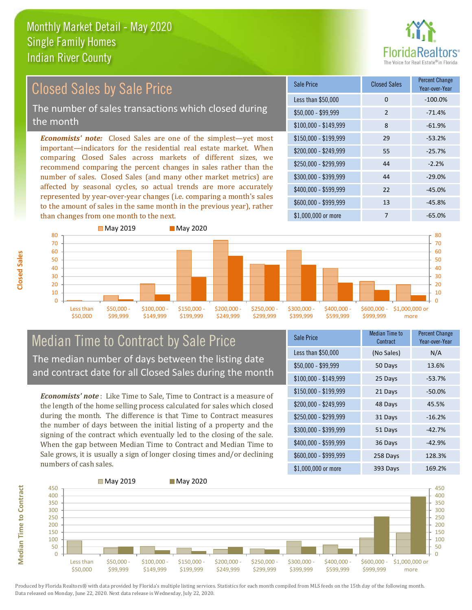

#### \$100,000 - \$149,999 8 -61.9% Sale Price Closed Sales Percent Change Year-over-Year Less than \$50,000 0 0 -100.0%  $$50,000 - $99,999$  2 -71.4% \$150,000 - \$199,999 29 -53.2% \$200,000 - \$249,999 55 -25.7%  $$400,000 - $599,999$  22 -45.0% \$600,000 - \$999,999 13 -45.8% *Economists' note:* Closed Sales are one of the simplest—yet most important—indicators for the residential real estate market. When comparing Closed Sales across markets of different sizes, we recommend comparing the percent changes in sales rather than the number of sales. Closed Sales (and many other market metrics) are affected by seasonal cycles, so actual trends are more accurately represented by year-over-year changes (i.e. comparing a month's sales to the amount of sales in the same month in the previous year), rather than changes from one month to the next. \$1,000,000 or more 7  $-65.0\%$  $$250,000 - $299,999$  44 -2.2%  $$300,000 - $399,999$  44 -29.0% Closed Sales by Sale Price The number of sales transactions which closed during the month



#### Median Time to Contract by Sale Price The median number of days between the listing date and contract date for all Closed Sales during the month

*Economists' note* : Like Time to Sale, Time to Contract is a measure of the length of the home selling process calculated for sales which closed during the month. The difference is that Time to Contract measures the number of days between the initial listing of a property and the signing of the contract which eventually led to the closing of the sale. When the gap between Median Time to Contract and Median Time to Sale grows, it is usually a sign of longer closing times and/or declining numbers of cash sales.

| Sale Price            | Median Time to<br>Contract | <b>Percent Change</b><br>Year-over-Year |
|-----------------------|----------------------------|-----------------------------------------|
| Less than \$50,000    | (No Sales)                 | N/A                                     |
| $$50,000 - $99,999$   | 50 Days                    | 13.6%                                   |
| $$100,000 - $149,999$ | 25 Days                    | $-53.7%$                                |
| $$150,000 - $199,999$ | 21 Days                    | $-50.0%$                                |
| \$200,000 - \$249,999 | 48 Days                    | 45.5%                                   |
| \$250,000 - \$299,999 | 31 Days                    | $-16.2%$                                |
| \$300,000 - \$399,999 | 51 Days                    | $-42.7%$                                |
| \$400,000 - \$599,999 | 36 Days                    | $-42.9%$                                |
| \$600,000 - \$999,999 | 258 Days                   | 128.3%                                  |
| \$1,000,000 or more   | 393 Days                   | 169.2%                                  |



**Closed Sales**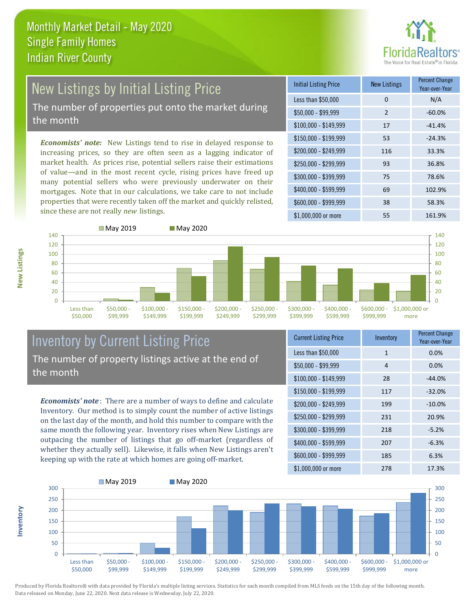

# New Listings by Initial Listing Price The number of properties put onto the market during

the month

*Economists' note:* New Listings tend to rise in delayed response to increasing prices, so they are often seen as a lagging indicator of market health. As prices rise, potential sellers raise their estimations of value—and in the most recent cycle, rising prices have freed up many potential sellers who were previously underwater on their mortgages. Note that in our calculations, we take care to not include properties that were recently taken off the market and quickly relisted, since these are not really *new* listings.

| <b>Initial Listing Price</b> | <b>New Listings</b> | <b>Percent Change</b><br>Year-over-Year |
|------------------------------|---------------------|-----------------------------------------|
| Less than \$50,000           | $\Omega$            | N/A                                     |
| $$50,000 - $99,999$          | $\mathcal{P}$       | $-60.0%$                                |
| $$100,000 - $149,999$        | 17                  | $-41.4%$                                |
| $$150,000 - $199,999$        | 53                  | $-24.3%$                                |
| \$200,000 - \$249,999        | 116                 | 33.3%                                   |
| \$250,000 - \$299,999        | 93                  | 36.8%                                   |
| \$300,000 - \$399,999        | 75                  | 78.6%                                   |
| \$400,000 - \$599,999        | 69                  | 102.9%                                  |
| \$600,000 - \$999,999        | 38                  | 58.3%                                   |
| \$1,000,000 or more          | 55                  | 161.9%                                  |



#### Inventory by Current Listing Price The number of property listings active at the end of the month

*Economists' note* : There are a number of ways to define and calculate Inventory. Our method is to simply count the number of active listings on the last day of the month, and hold this number to compare with the same month the following year. Inventory rises when New Listings are outpacing the number of listings that go off-market (regardless of whether they actually sell). Likewise, it falls when New Listings aren't keeping up with the rate at which homes are going off-market.

| <b>Current Listing Price</b> | Inventory    | <b>Percent Change</b><br>Year-over-Year |
|------------------------------|--------------|-----------------------------------------|
| Less than \$50,000           | $\mathbf{1}$ | 0.0%                                    |
| $$50,000 - $99,999$          | 4            | 0.0%                                    |
| $$100,000 - $149,999$        | 28           | $-44.0%$                                |
| $$150,000 - $199,999$        | 117          | $-32.0%$                                |
| \$200,000 - \$249,999        | 199          | $-10.0%$                                |
| \$250,000 - \$299,999        | 231          | 20.9%                                   |
| \$300,000 - \$399,999        | 218          | $-5.2%$                                 |
| \$400,000 - \$599,999        | 207          | $-6.3%$                                 |
| \$600,000 - \$999,999        | 185          | 6.3%                                    |
| \$1,000,000 or more          | 278          | 17.3%                                   |



Produced by Florida Realtors® with data provided by Florida's multiple listing services. Statistics for each month compiled from MLS feeds on the 15th day of the following month. Data released on Monday, June 22, 2020. Next data release is Wednesday, July 22, 2020.

**Inventory**